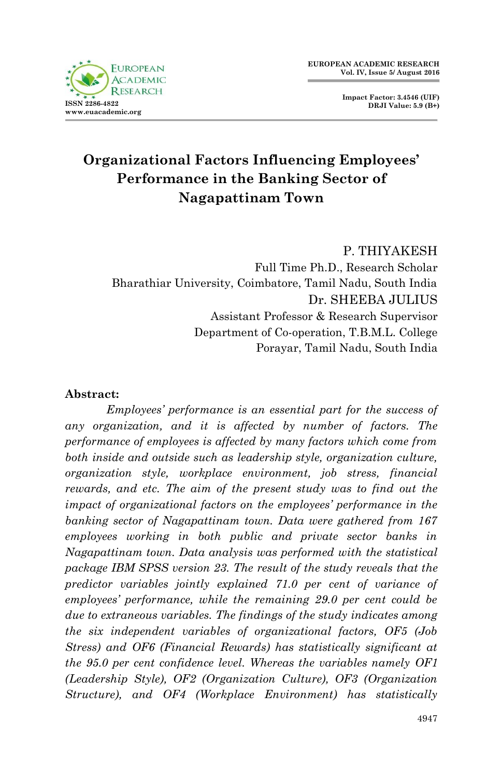

**Impact Factor: 3.4546 (UIF) DRJI Value: 5.9 (B+)**

# **Organizational Factors Influencing Employees' Performance in the Banking Sector of Nagapattinam Town**

P. THIYAKESH

Full Time Ph.D., Research Scholar Bharathiar University, Coimbatore, Tamil Nadu, South India Dr. SHEEBA JULIUS Assistant Professor & Research Supervisor Department of Co-operation, T.B.M.L. College Porayar, Tamil Nadu, South India

### **Abstract:**

*Employees' performance is an essential part for the success of any organization, and it is affected by number of factors. The performance of employees is affected by many factors which come from both inside and outside such as leadership style, organization culture, organization style, workplace environment, job stress, financial rewards, and etc. The aim of the present study was to find out the impact of organizational factors on the employees' performance in the banking sector of Nagapattinam town. Data were gathered from 167 employees working in both public and private sector banks in Nagapattinam town. Data analysis was performed with the statistical package IBM SPSS version 23. The result of the study reveals that the predictor variables jointly explained 71.0 per cent of variance of employees' performance, while the remaining 29.0 per cent could be due to extraneous variables. The findings of the study indicates among the six independent variables of organizational factors, OF5 (Job Stress) and OF6 (Financial Rewards) has statistically significant at the 95.0 per cent confidence level. Whereas the variables namely OF1 (Leadership Style), OF2 (Organization Culture), OF3 (Organization Structure), and OF4 (Workplace Environment) has statistically*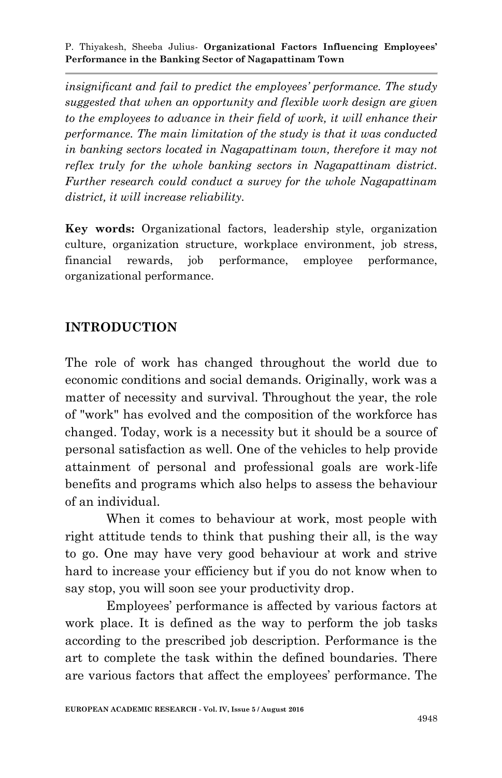*insignificant and fail to predict the employees' performance. The study suggested that when an opportunity and flexible work design are given to the employees to advance in their field of work, it will enhance their performance. The main limitation of the study is that it was conducted in banking sectors located in Nagapattinam town, therefore it may not reflex truly for the whole banking sectors in Nagapattinam district. Further research could conduct a survey for the whole Nagapattinam district, it will increase reliability.*

**Key words:** Organizational factors, leadership style, organization culture, organization structure, workplace environment, job stress, financial rewards, job performance, employee performance, organizational performance.

# **INTRODUCTION**

The role of work has changed throughout the world due to economic conditions and social demands. Originally, work was a matter of necessity and survival. Throughout the year, the role of "work" has evolved and the composition of the workforce has changed. Today, work is a necessity but it should be a source of personal satisfaction as well. One of the vehicles to help provide attainment of personal and professional goals are work-life benefits and programs which also helps to assess the behaviour of an individual.

When it comes to behaviour at work, most people with right attitude tends to think that pushing their all, is the way to go. One may have very good behaviour at work and strive hard to increase your efficiency but if you do not know when to say stop, you will soon see your productivity drop.

Employees' performance is affected by various factors at work place. It is defined as the way to perform the job tasks according to the prescribed job description. Performance is the art to complete the task within the defined boundaries. There are various factors that affect the employees' performance. The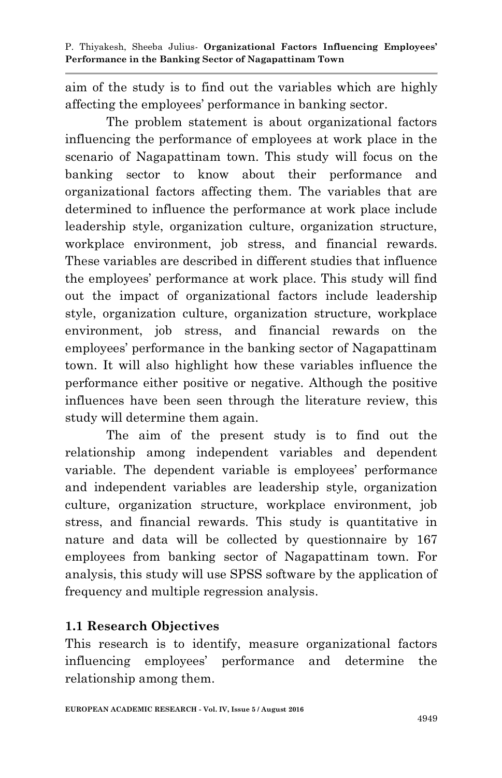aim of the study is to find out the variables which are highly affecting the employees' performance in banking sector.

The problem statement is about organizational factors influencing the performance of employees at work place in the scenario of Nagapattinam town. This study will focus on the banking sector to know about their performance and organizational factors affecting them. The variables that are determined to influence the performance at work place include leadership style, organization culture, organization structure, workplace environment, job stress, and financial rewards. These variables are described in different studies that influence the employees' performance at work place. This study will find out the impact of organizational factors include leadership style, organization culture, organization structure, workplace environment, job stress, and financial rewards on the employees' performance in the banking sector of Nagapattinam town. It will also highlight how these variables influence the performance either positive or negative. Although the positive influences have been seen through the literature review, this study will determine them again.

The aim of the present study is to find out the relationship among independent variables and dependent variable. The dependent variable is employees' performance and independent variables are leadership style, organization culture, organization structure, workplace environment, job stress, and financial rewards. This study is quantitative in nature and data will be collected by questionnaire by 167 employees from banking sector of Nagapattinam town. For analysis, this study will use SPSS software by the application of frequency and multiple regression analysis.

# **1.1 Research Objectives**

This research is to identify, measure organizational factors influencing employees' performance and determine the relationship among them.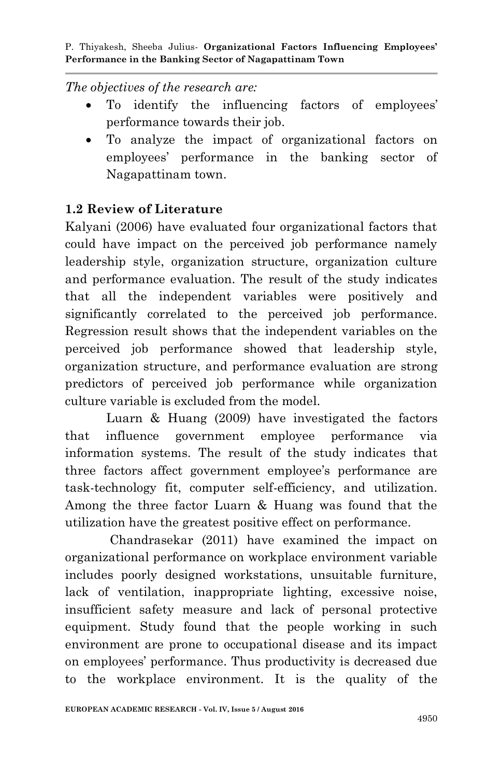*The objectives of the research are:*

- To identify the influencing factors of employees' performance towards their job.
- To analyze the impact of organizational factors on employees' performance in the banking sector of Nagapattinam town.

# **1.2 Review of Literature**

Kalyani (2006) have evaluated four organizational factors that could have impact on the perceived job performance namely leadership style, organization structure, organization culture and performance evaluation. The result of the study indicates that all the independent variables were positively and significantly correlated to the perceived job performance. Regression result shows that the independent variables on the perceived job performance showed that leadership style, organization structure, and performance evaluation are strong predictors of perceived job performance while organization culture variable is excluded from the model.

Luarn & Huang (2009) have investigated the factors that influence government employee performance via information systems. The result of the study indicates that three factors affect government employee's performance are task-technology fit, computer self-efficiency, and utilization. Among the three factor Luarn & Huang was found that the utilization have the greatest positive effect on performance.

Chandrasekar (2011) have examined the impact on organizational performance on workplace environment variable includes poorly designed workstations, unsuitable furniture, lack of ventilation, inappropriate lighting, excessive noise, insufficient safety measure and lack of personal protective equipment. Study found that the people working in such environment are prone to occupational disease and its impact on employees' performance. Thus productivity is decreased due to the workplace environment. It is the quality of the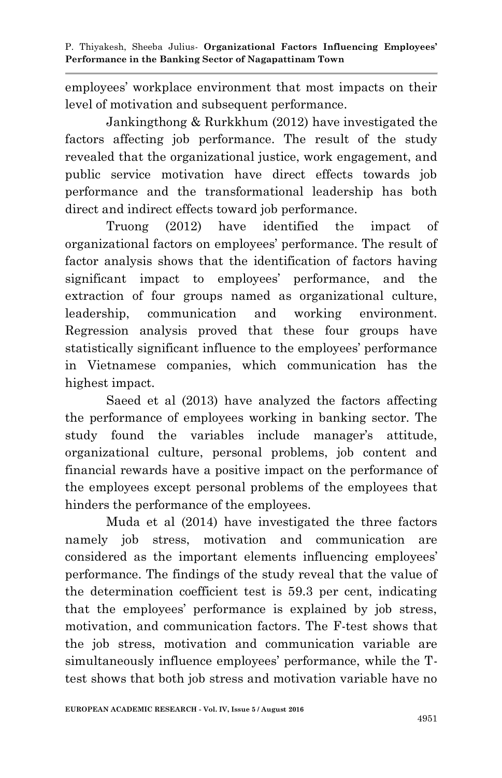employees' workplace environment that most impacts on their level of motivation and subsequent performance.

Jankingthong & Rurkkhum (2012) have investigated the factors affecting job performance. The result of the study revealed that the organizational justice, work engagement, and public service motivation have direct effects towards job performance and the transformational leadership has both direct and indirect effects toward job performance.

Truong (2012) have identified the impact of organizational factors on employees' performance. The result of factor analysis shows that the identification of factors having significant impact to employees' performance, and the extraction of four groups named as organizational culture, leadership, communication and working environment. Regression analysis proved that these four groups have statistically significant influence to the employees' performance in Vietnamese companies, which communication has the highest impact.

Saeed et al (2013) have analyzed the factors affecting the performance of employees working in banking sector. The study found the variables include manager's attitude, organizational culture, personal problems, job content and financial rewards have a positive impact on the performance of the employees except personal problems of the employees that hinders the performance of the employees.

Muda et al (2014) have investigated the three factors namely job stress, motivation and communication are considered as the important elements influencing employees' performance. The findings of the study reveal that the value of the determination coefficient test is 59.3 per cent, indicating that the employees' performance is explained by job stress, motivation, and communication factors. The F-test shows that the job stress, motivation and communication variable are simultaneously influence employees' performance, while the Ttest shows that both job stress and motivation variable have no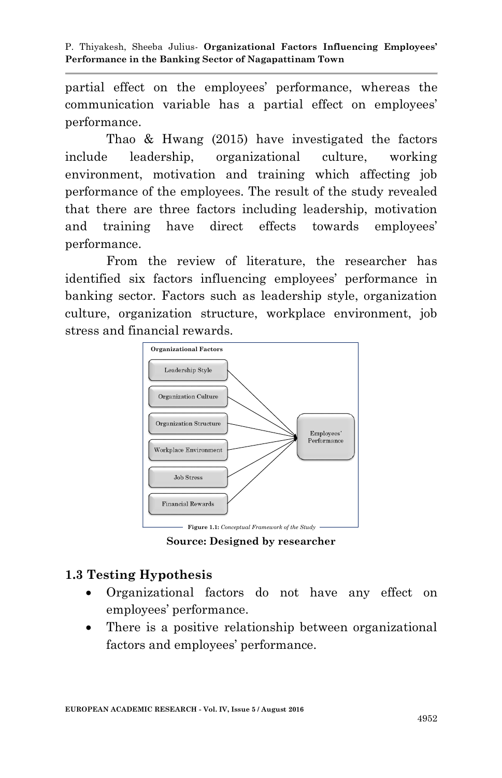partial effect on the employees' performance, whereas the communication variable has a partial effect on employees' performance.

Thao & Hwang (2015) have investigated the factors include leadership, organizational culture, working environment, motivation and training which affecting job performance of the employees. The result of the study revealed that there are three factors including leadership, motivation and training have direct effects towards employees' performance.

From the review of literature, the researcher has identified six factors influencing employees' performance in banking sector. Factors such as leadership style, organization culture, organization structure, workplace environment, job stress and financial rewards.



**Source: Designed by researcher**

# **1.3 Testing Hypothesis**

- Organizational factors do not have any effect on employees' performance.
- There is a positive relationship between organizational factors and employees' performance.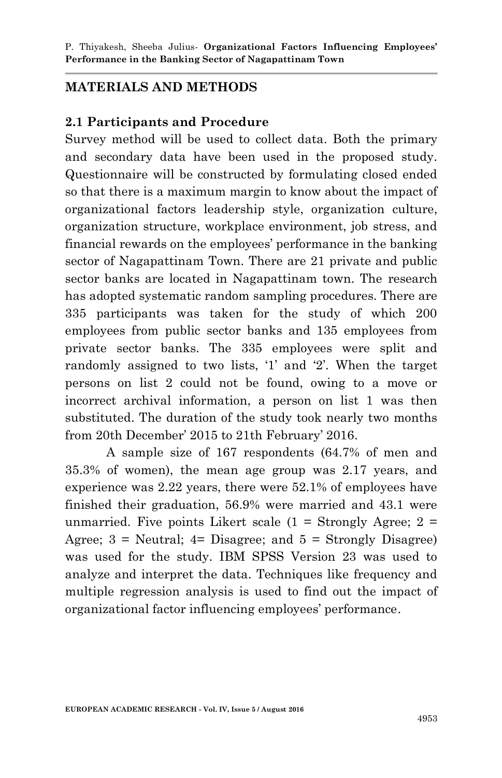## **MATERIALS AND METHODS**

## **2.1 Participants and Procedure**

Survey method will be used to collect data. Both the primary and secondary data have been used in the proposed study. Questionnaire will be constructed by formulating closed ended so that there is a maximum margin to know about the impact of organizational factors leadership style, organization culture, organization structure, workplace environment, job stress, and financial rewards on the employees' performance in the banking sector of Nagapattinam Town. There are 21 private and public sector banks are located in Nagapattinam town. The research has adopted systematic random sampling procedures. There are 335 participants was taken for the study of which 200 employees from public sector banks and 135 employees from private sector banks. The 335 employees were split and randomly assigned to two lists, '1' and '2'. When the target persons on list 2 could not be found, owing to a move or incorrect archival information, a person on list 1 was then substituted. The duration of the study took nearly two months from 20th December' 2015 to 21th February' 2016.

A sample size of 167 respondents (64.7% of men and 35.3% of women), the mean age group was 2.17 years, and experience was 2.22 years, there were 52.1% of employees have finished their graduation, 56.9% were married and 43.1 were unmarried. Five points Likert scale  $(1 =$  Strongly Agree;  $2 =$ Agree;  $3$  = Neutral;  $4$ = Disagree; and  $5$  = Strongly Disagree) was used for the study. IBM SPSS Version 23 was used to analyze and interpret the data. Techniques like frequency and multiple regression analysis is used to find out the impact of organizational factor influencing employees' performance.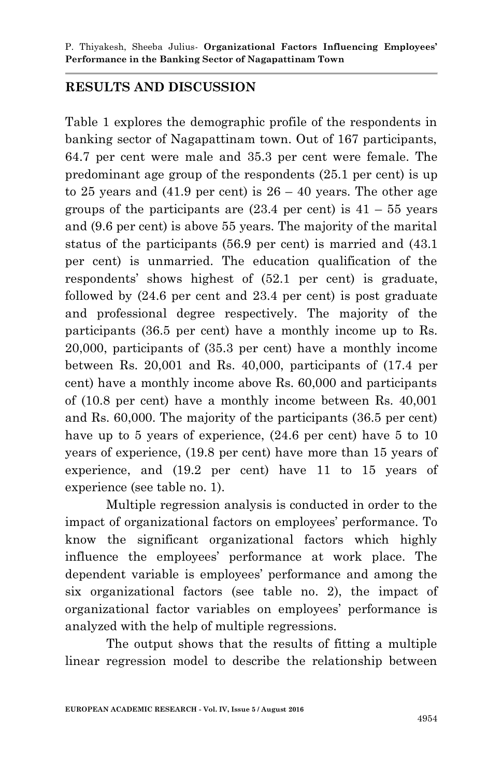### **RESULTS AND DISCUSSION**

Table 1 explores the demographic profile of the respondents in banking sector of Nagapattinam town. Out of 167 participants, 64.7 per cent were male and 35.3 per cent were female. The predominant age group of the respondents (25.1 per cent) is up to 25 years and  $(41.9 \text{ per cent})$  is  $26 - 40 \text{ years}$ . The other age groups of the participants are  $(23.4 \text{ per cent})$  is  $41 - 55 \text{ years}$ and (9.6 per cent) is above 55 years. The majority of the marital status of the participants (56.9 per cent) is married and (43.1 per cent) is unmarried. The education qualification of the respondents' shows highest of (52.1 per cent) is graduate, followed by (24.6 per cent and 23.4 per cent) is post graduate and professional degree respectively. The majority of the participants (36.5 per cent) have a monthly income up to Rs. 20,000, participants of (35.3 per cent) have a monthly income between Rs. 20,001 and Rs. 40,000, participants of (17.4 per cent) have a monthly income above Rs. 60,000 and participants of (10.8 per cent) have a monthly income between Rs. 40,001 and Rs. 60,000. The majority of the participants (36.5 per cent) have up to 5 years of experience,  $(24.6 \text{ per cent})$  have 5 to 10 years of experience, (19.8 per cent) have more than 15 years of experience, and (19.2 per cent) have 11 to 15 years of experience (see table no. 1).

Multiple regression analysis is conducted in order to the impact of organizational factors on employees' performance. To know the significant organizational factors which highly influence the employees' performance at work place. The dependent variable is employees' performance and among the six organizational factors (see table no. 2), the impact of organizational factor variables on employees' performance is analyzed with the help of multiple regressions.

The output shows that the results of fitting a multiple linear regression model to describe the relationship between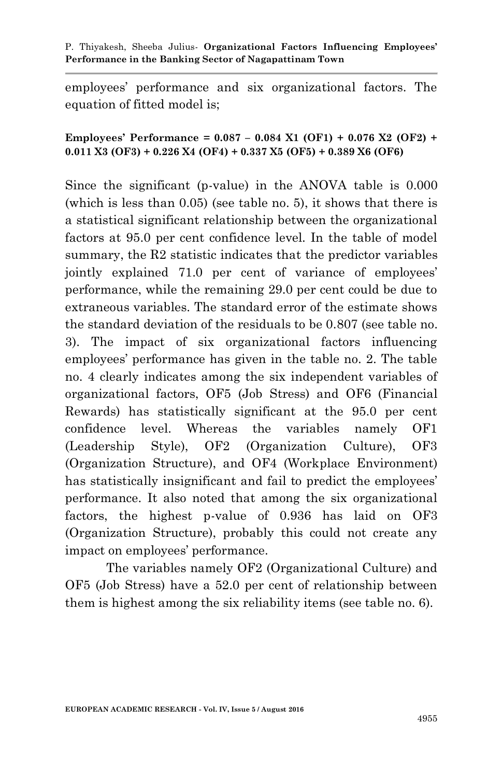employees' performance and six organizational factors. The equation of fitted model is;

#### **Employees' Performance = 0.087 – 0.084 X1 (OF1) + 0.076 X2 (OF2) + 0.011 X3 (OF3) + 0.226 X4 (OF4) + 0.337 X5 (OF5) + 0.389 X6 (OF6)**

Since the significant (p-value) in the ANOVA table is 0.000 (which is less than 0.05) (see table no. 5), it shows that there is a statistical significant relationship between the organizational factors at 95.0 per cent confidence level. In the table of model summary, the R2 statistic indicates that the predictor variables jointly explained 71.0 per cent of variance of employees' performance, while the remaining 29.0 per cent could be due to extraneous variables. The standard error of the estimate shows the standard deviation of the residuals to be 0.807 (see table no. 3). The impact of six organizational factors influencing employees' performance has given in the table no. 2. The table no. 4 clearly indicates among the six independent variables of organizational factors, OF5 (Job Stress) and OF6 (Financial Rewards) has statistically significant at the 95.0 per cent confidence level. Whereas the variables namely OF1 (Leadership Style), OF2 (Organization Culture), OF3 (Organization Structure), and OF4 (Workplace Environment) has statistically insignificant and fail to predict the employees' performance. It also noted that among the six organizational factors, the highest p-value of 0.936 has laid on OF3 (Organization Structure), probably this could not create any impact on employees' performance.

The variables namely OF2 (Organizational Culture) and OF5 (Job Stress) have a 52.0 per cent of relationship between them is highest among the six reliability items (see table no. 6).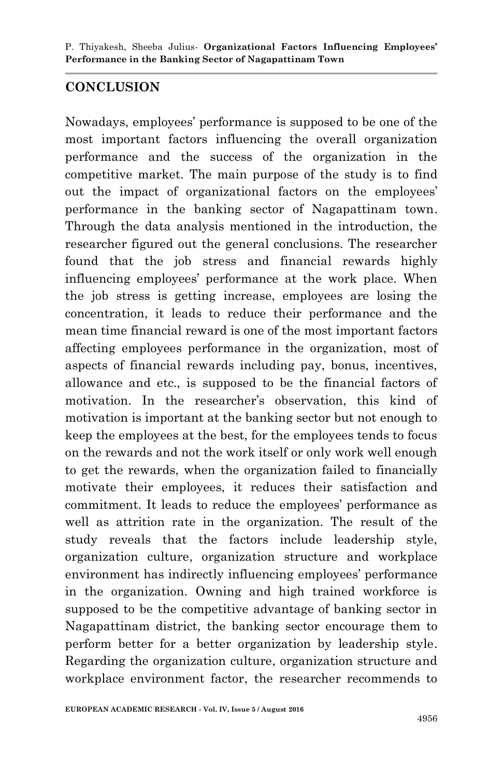# **CONCLUSION**

Nowadays, employees' performance is supposed to be one of the most important factors influencing the overall organization performance and the success of the organization in the competitive market. The main purpose of the study is to find out the impact of organizational factors on the employees' performance in the banking sector of Nagapattinam town. Through the data analysis mentioned in the introduction, the researcher figured out the general conclusions. The researcher found that the job stress and financial rewards highly influencing employees' performance at the work place. When the job stress is getting increase, employees are losing the concentration, it leads to reduce their performance and the mean time financial reward is one of the most important factors affecting employees performance in the organization, most of aspects of financial rewards including pay, bonus, incentives, allowance and etc., is supposed to be the financial factors of motivation. In the researcher's observation, this kind of motivation is important at the banking sector but not enough to keep the employees at the best, for the employees tends to focus on the rewards and not the work itself or only work well enough to get the rewards, when the organization failed to financially motivate their employees, it reduces their satisfaction and commitment. It leads to reduce the employees' performance as well as attrition rate in the organization. The result of the study reveals that the factors include leadership style, organization culture, organization structure and workplace environment has indirectly influencing employees' performance in the organization. Owning and high trained workforce is supposed to be the competitive advantage of banking sector in Nagapattinam district, the banking sector encourage them to perform better for a better organization by leadership style. Regarding the organization culture, organization structure and workplace environment factor, the researcher recommends to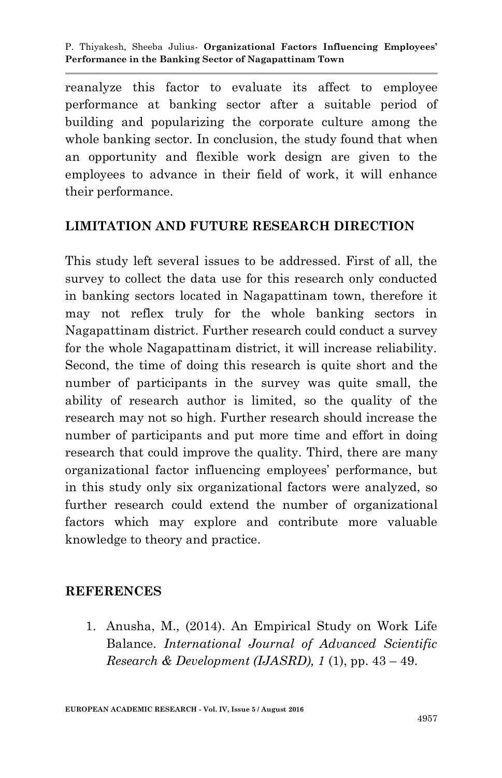reanalyze this factor to evaluate its affect to employee performance at banking sector after a suitable period of building and popularizing the corporate culture among the whole banking sector. In conclusion, the study found that when an opportunity and flexible work design are given to the employees to advance in their field of work, it will enhance their performance.

## **LIMITATION AND FUTURE RESEARCH DIRECTION**

This study left several issues to be addressed. First of all, the survey to collect the data use for this research only conducted in banking sectors located in Nagapattinam town, therefore it may not reflex truly for the whole banking sectors in Nagapattinam district. Further research could conduct a survey for the whole Nagapattinam district, it will increase reliability. Second, the time of doing this research is quite short and the number of participants in the survey was quite small, the ability of research author is limited, so the quality of the research may not so high. Further research should increase the number of participants and put more time and effort in doing research that could improve the quality. Third, there are many organizational factor influencing employees' performance, but in this study only six organizational factors were analyzed, so further research could extend the number of organizational factors which may explore and contribute more valuable knowledge to theory and practice.

### **REFERENCES**

1. Anusha, M., (2014). An Empirical Study on Work Life Balance. *International Journal of Advanced Scientific Research & Development (IJASRD), 1* (1), pp. 43 – 49.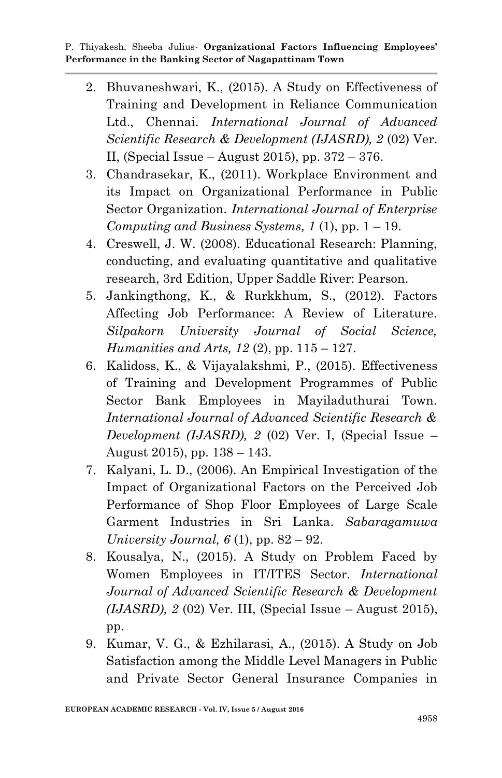- 2. Bhuvaneshwari, K., (2015). A Study on Effectiveness of Training and Development in Reliance Communication Ltd., Chennai. *International Journal of Advanced Scientific Research & Development (IJASRD), 2* (02) Ver. II, (Special Issue – August 2015), pp.  $372 - 376$ .
- 3. Chandrasekar, K., (2011). Workplace Environment and its Impact on Organizational Performance in Public Sector Organization. *International Journal of Enterprise Computing and Business Systems, 1* (1), pp. 1 – 19.
- 4. Creswell, J. W. (2008). Educational Research: Planning, conducting, and evaluating quantitative and qualitative research, 3rd Edition, Upper Saddle River: Pearson.
- 5. Jankingthong, K., & Rurkkhum, S., (2012). Factors Affecting Job Performance: A Review of Literature. *Silpakorn University Journal of Social Science, Humanities and Arts, 12* (2), pp. 115 – 127.
- 6. Kalidoss, K., & Vijayalakshmi, P., (2015). Effectiveness of Training and Development Programmes of Public Sector Bank Employees in Mayiladuthurai Town. *International Journal of Advanced Scientific Research & Development (IJASRD), 2* (02) Ver. I, (Special Issue – August 2015), pp. 138 – 143.
- 7. Kalyani, L. D., (2006). An Empirical Investigation of the Impact of Organizational Factors on the Perceived Job Performance of Shop Floor Employees of Large Scale Garment Industries in Sri Lanka. *Sabaragamuwa University Journal, 6* (1), pp. 82 – 92.
- 8. Kousalya, N., (2015). A Study on Problem Faced by Women Employees in IT/ITES Sector. *International Journal of Advanced Scientific Research & Development (IJASRD), 2* (02) Ver. III, (Special Issue – August 2015), pp.
- 9. Kumar, V. G., & Ezhilarasi, A., (2015). A Study on Job Satisfaction among the Middle Level Managers in Public and Private Sector General Insurance Companies in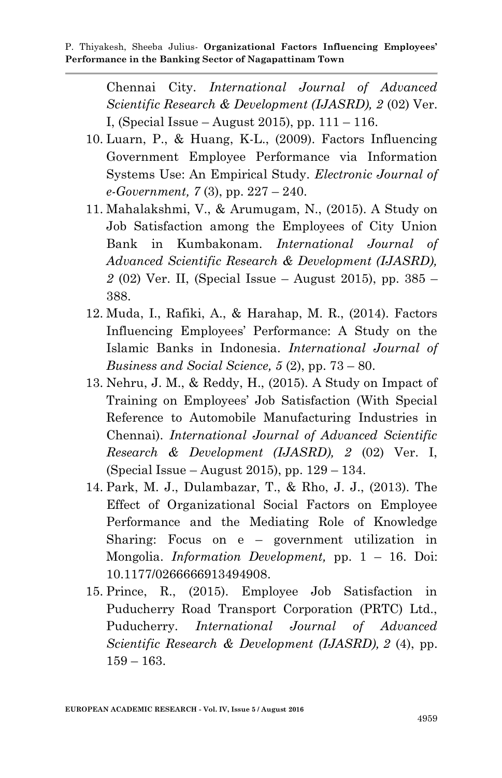Chennai City. *International Journal of Advanced Scientific Research & Development (IJASRD), 2* (02) Ver. I, (Special Issue – August 2015), pp. 111 – 116.

- 10. Luarn, P., & Huang, K-L., (2009). Factors Influencing Government Employee Performance via Information Systems Use: An Empirical Study. *Electronic Journal of e-Government, 7* (3), pp. 227 – 240.
- 11. Mahalakshmi, V., & Arumugam, N., (2015). A Study on Job Satisfaction among the Employees of City Union Bank in Kumbakonam. *International Journal of Advanced Scientific Research & Development (IJASRD), 2* (02) Ver. II, (Special Issue – August 2015), pp. 385 – 388.
- 12. Muda, I., Rafiki, A., & Harahap, M. R., (2014). Factors Influencing Employees' Performance: A Study on the Islamic Banks in Indonesia. *International Journal of Business and Social Science, 5* (2), pp. 73 – 80.
- 13. Nehru, J. M., & Reddy, H., (2015). A Study on Impact of Training on Employees' Job Satisfaction (With Special Reference to Automobile Manufacturing Industries in Chennai). *International Journal of Advanced Scientific Research & Development (IJASRD), 2* (02) Ver. I, (Special Issue – August 2015), pp. 129 – 134.
- 14. Park, M. J., Dulambazar, T., & Rho, J. J., (2013). The Effect of Organizational Social Factors on Employee Performance and the Mediating Role of Knowledge Sharing: Focus on e – government utilization in Mongolia. *Information Development,* pp. 1 – 16. Doi: 10.1177/0266666913494908.
- 15. Prince, R., (2015). Employee Job Satisfaction in Puducherry Road Transport Corporation (PRTC) Ltd., Puducherry. *International Journal of Advanced Scientific Research & Development (IJASRD), 2* (4), pp.  $159 - 163.$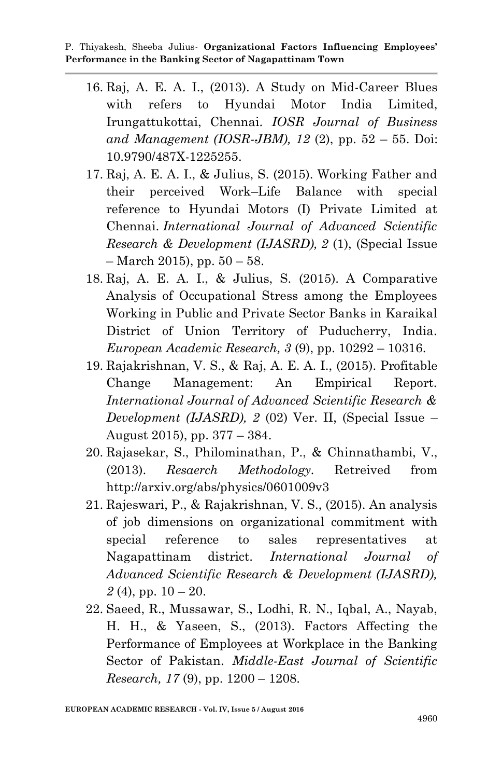- 16. Raj, A. E. A. I., (2013). A Study on Mid-Career Blues with refers to Hyundai Motor India Limited, Irungattukottai, Chennai. *IOSR Journal of Business and Management (IOSR-JBM), 12* (2), pp. 52 – 55. Doi: 10.9790/487X-1225255.
- 17. Raj, A. E. A. I., & Julius, S. (2015). Working Father and their perceived Work–Life Balance with special reference to Hyundai Motors (I) Private Limited at Chennai. *International Journal of Advanced Scientific Research & Development (IJASRD), 2* (1), (Special Issue  $-$  March 2015), pp.  $50 - 58$ .
- 18. Raj, A. E. A. I., & Julius, S. (2015). A Comparative Analysis of Occupational Stress among the Employees Working in Public and Private Sector Banks in Karaikal District of Union Territory of Puducherry, India. *European Academic Research, 3* (9), pp. 10292 – 10316.
- 19. Rajakrishnan, V. S., & Raj, A. E. A. I., (2015). Profitable Change Management: An Empirical Report. *International Journal of Advanced Scientific Research & Development (IJASRD), 2* (02) Ver. II, (Special Issue – August 2015), pp. 377 – 384.
- 20. Rajasekar, S., Philominathan, P., & Chinnathambi, V., (2013). *Resaerch Methodology.* Retreived from http://arxiv.org/abs/physics/0601009v3
- 21. Rajeswari, P., & Rajakrishnan, V. S., (2015). An analysis of job dimensions on organizational commitment with special reference to sales representatives at Nagapattinam district. *International Journal of Advanced Scientific Research & Development (IJASRD),*   $2(4)$ , pp.  $10-20$ .
- 22. Saeed, R., Mussawar, S., Lodhi, R. N., Iqbal, A., Nayab, H. H., & Yaseen, S., (2013). Factors Affecting the Performance of Employees at Workplace in the Banking Sector of Pakistan. *Middle-East Journal of Scientific Research, 17* (9), pp. 1200 – 1208.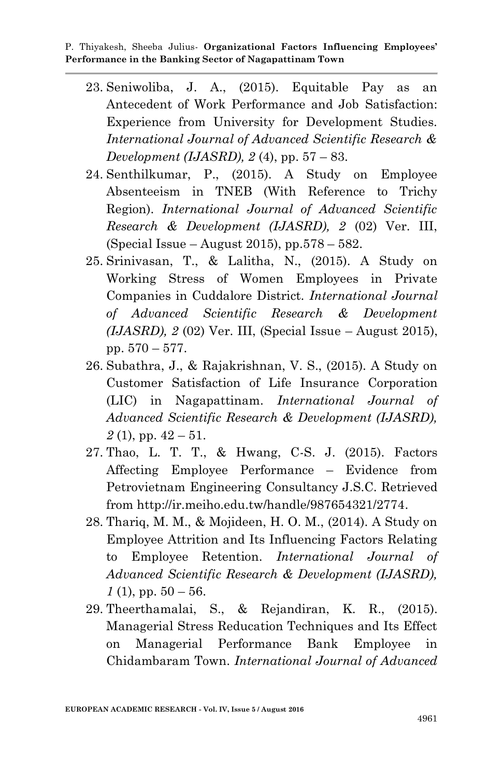- 23. Seniwoliba, J. A., (2015). Equitable Pay as an Antecedent of Work Performance and Job Satisfaction: Experience from University for Development Studies. *International Journal of Advanced Scientific Research & Development (IJASRD), 2* (4), pp. 57 – 83.
- 24. Senthilkumar, P., (2015). A Study on Employee Absenteeism in TNEB (With Reference to Trichy Region). *International Journal of Advanced Scientific Research & Development (IJASRD), 2* (02) Ver. III, (Special Issue – August 2015), pp.578 – 582.
- 25. Srinivasan, T., & Lalitha, N., (2015). A Study on Working Stress of Women Employees in Private Companies in Cuddalore District. *International Journal of Advanced Scientific Research & Development (IJASRD), 2* (02) Ver. III, (Special Issue – August 2015), pp. 570 – 577.
- 26. Subathra, J., & Rajakrishnan, V. S., (2015). A Study on Customer Satisfaction of Life Insurance Corporation (LIC) in Nagapattinam. *International Journal of Advanced Scientific Research & Development (IJASRD),*   $2(1)$ , pp.  $42 - 51$ .
- 27. Thao, L. T. T., & Hwang, C-S. J. (2015). Factors Affecting Employee Performance – Evidence from Petrovietnam Engineering Consultancy J.S.C. Retrieved from http://ir.meiho.edu.tw/handle/987654321/2774.
- 28. Thariq, M. M., & Mojideen, H. O. M., (2014). A Study on Employee Attrition and Its Influencing Factors Relating to Employee Retention. *International Journal of Advanced Scientific Research & Development (IJASRD),*   $1(1)$ , pp.  $50 - 56$ .
- 29. Theerthamalai, S., & Rejandiran, K. R., (2015). Managerial Stress Reducation Techniques and Its Effect on Managerial Performance Bank Employee in Chidambaram Town. *International Journal of Advanced*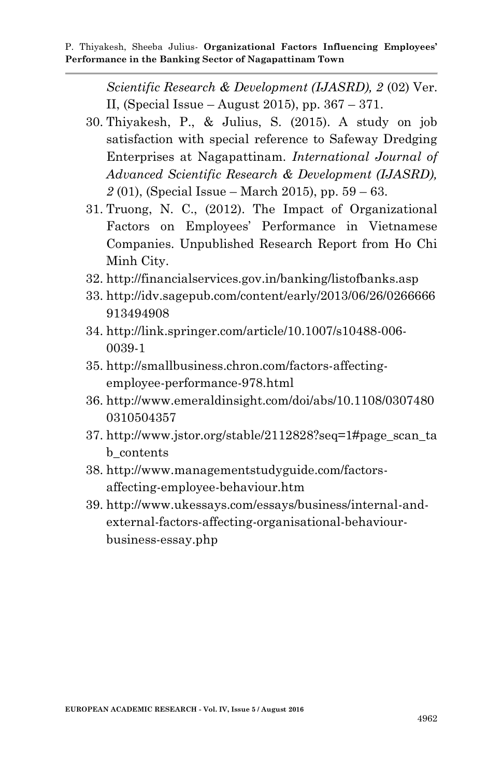*Scientific Research & Development (IJASRD), 2* (02) Ver. II, (Special Issue – August 2015), pp.  $367 - 371$ .

- 30. Thiyakesh, P., & Julius, S. (2015). A study on job satisfaction with special reference to Safeway Dredging Enterprises at Nagapattinam. *International Journal of Advanced Scientific Research & Development (IJASRD), 2* (01), (Special Issue – March 2015), pp. 59 – 63.
- 31. Truong, N. C., (2012). The Impact of Organizational Factors on Employees' Performance in Vietnamese Companies. Unpublished Research Report from Ho Chi Minh City.
- 32. http://financialservices.gov.in/banking/listofbanks.asp
- 33. http://idv.sagepub.com/content/early/2013/06/26/0266666 913494908
- 34. http://link.springer.com/article/10.1007/s10488-006- 0039-1
- 35. http://smallbusiness.chron.com/factors-affectingemployee-performance-978.html
- 36. http://www.emeraldinsight.com/doi/abs/10.1108/0307480 0310504357
- 37. http://www.jstor.org/stable/2112828?seq=1#page\_scan\_ta b\_contents
- 38. http://www.managementstudyguide.com/factorsaffecting-employee-behaviour.htm
- 39. http://www.ukessays.com/essays/business/internal-andexternal-factors-affecting-organisational-behaviourbusiness-essay.php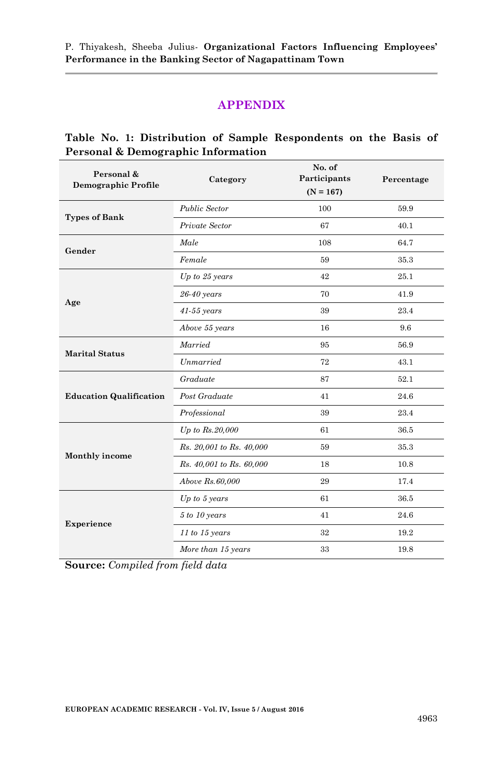#### **APPENDIX**

#### **Table No. 1: Distribution of Sample Respondents on the Basis of Personal & Demographic Information**

| Personal &<br><b>Demographic Profile</b> | Category                 | No. of<br>Participants<br>$(N = 167)$ | Percentage |  |
|------------------------------------------|--------------------------|---------------------------------------|------------|--|
| <b>Types of Bank</b>                     | Public Sector            | 100                                   | 59.9       |  |
|                                          | Private Sector           | 67                                    | 40.1       |  |
| Gender                                   | Male                     | 108                                   | 64.7       |  |
|                                          | Female                   | 59                                    | 35.3       |  |
|                                          | $Up$ to $25$ years       | 42                                    | 25.1       |  |
| Age                                      | 26-40 years              | 70                                    | 41.9       |  |
|                                          | $41-55$ years            | 39                                    | 23.4       |  |
|                                          | Above 55 years           | 16                                    | 9.6        |  |
| <b>Marital Status</b>                    | Married                  | 95                                    | 56.9       |  |
|                                          | Unmarried                | 72                                    | 43.1       |  |
|                                          | Graduate                 | 87                                    | 52.1       |  |
| <b>Education Qualification</b>           | Post Graduate            | 41                                    | 24.6       |  |
|                                          | Professional             | 39                                    | 23.4       |  |
|                                          | $Up$ to $Rs.20,000$      | 61                                    | 36.5       |  |
| Monthly income                           | Rs. 20,001 to Rs. 40,000 | 59                                    | 35.3       |  |
|                                          | Rs. 40,001 to Rs. 60,000 | 18                                    | 10.8       |  |
|                                          | Above Rs.60,000          | 29                                    | 17.4       |  |
|                                          | $Up$ to 5 years          | 61                                    | 36.5       |  |
| Experience                               | 5 to 10 years            | 41                                    | 24.6       |  |
|                                          | 11 to 15 years           | 32                                    | 19.2       |  |
|                                          | More than 15 years       | 33                                    | 19.8       |  |

**Source:** *Compiled from field data*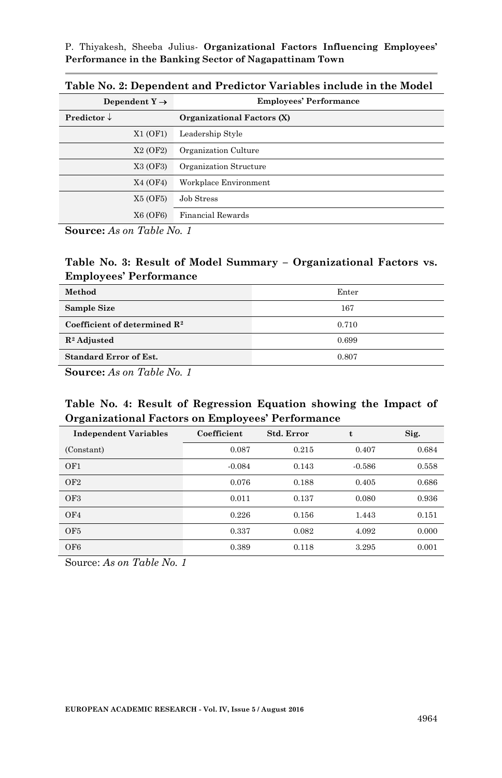| Dependent $Y \rightarrow$         | <b>Employees' Performance</b> |  |  |
|-----------------------------------|-------------------------------|--|--|
| Predictor $\downarrow$            | Organizational Factors (X)    |  |  |
| X1 (OF1)                          | Leadership Style              |  |  |
| X <sub>2</sub> (OF <sub>2</sub> ) | Organization Culture          |  |  |
| X3 (OF3)                          | Organization Structure        |  |  |
| X4 (OF4)                          | Workplace Environment         |  |  |
| X5 (OF5)                          | Job Stress                    |  |  |
| X6 (OF6)                          | Financial Rewards             |  |  |

**Table No. 2: Dependent and Predictor Variables include in the Model**

**Source:** *As on Table No. 1*

#### **Table No. 3: Result of Model Summary – Organizational Factors vs. Employees' Performance**

| Method                                   | Enter |
|------------------------------------------|-------|
| <b>Sample Size</b>                       | 167   |
| Coefficient of determined $\mathbb{R}^2$ | 0.710 |
| $\mathbb{R}^2$ Adjusted                  | 0.699 |
| <b>Standard Error of Est.</b>            | 0.807 |

**Source:** *As on Table No. 1*

#### **Table No. 4: Result of Regression Equation showing the Impact of Organizational Factors on Employees' Performance**

| <b>Independent Variables</b> | Coefficient | Std. Error |          | Sig.  |
|------------------------------|-------------|------------|----------|-------|
| (Constant)                   | 0.087       | 0.215      | 0.407    | 0.684 |
| OF1                          | $-0.084$    | 0.143      | $-0.586$ | 0.558 |
| OF <sub>2</sub>              | 0.076       | 0.188      | 0.405    | 0.686 |
| OF3                          | 0.011       | 0.137      | 0.080    | 0.936 |
| OF4                          | 0.226       | 0.156      | 1.443    | 0.151 |
| OF <sub>5</sub>              | 0.337       | 0.082      | 4.092    | 0.000 |
| OF <sub>6</sub>              | 0.389       | 0.118      | 3.295    | 0.001 |

Source: *As on Table No. 1*